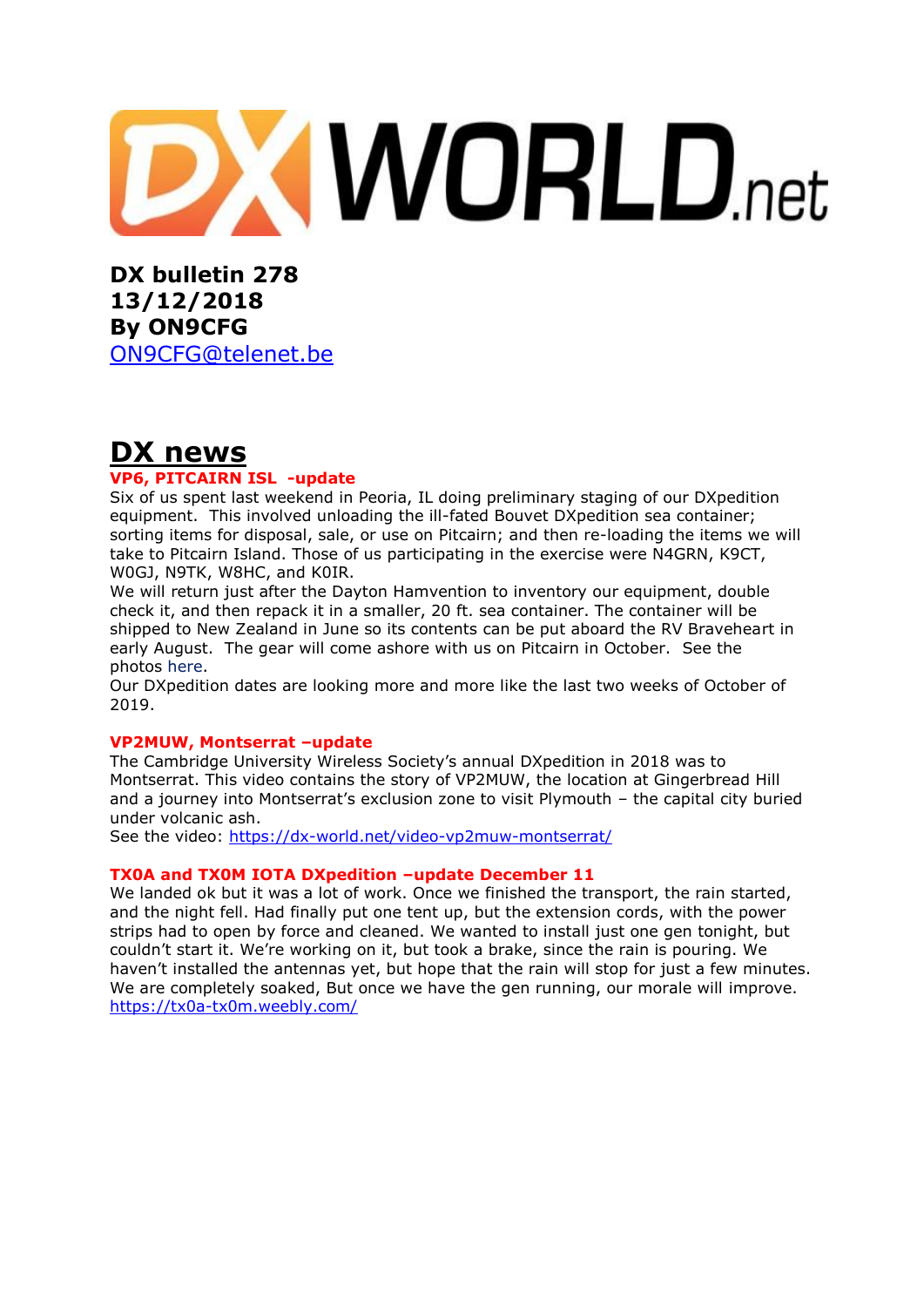# **XWORLD.net**

**DX bulletin 278 13/12/2018 By ON9CFG**  [ON9CFG@telenet.be](mailto:ON9CFG@telenet.be)

## **DX news**

#### **VP6, PITCAIRN ISL -update**

Six of us spent last weekend in Peoria, IL doing preliminary staging of our DXpedition equipment. This involved unloading the ill-fated Bouvet DXpedition sea container; sorting items for disposal, sale, or use on Pitcairn; and then re-loading the items we will take to Pitcairn Island. Those of us participating in the exercise were N4GRN, K9CT, W0GJ, N9TK, W8HC, and K0IR.

We will return just after the Dayton Hamvention to inventory our equipment, double check it, and then repack it in a smaller, 20 ft. sea container. The container will be shipped to New Zealand in June so its contents can be put aboard the RV Braveheart in early August. The gear will come ashore with us on Pitcairn in October. See the photos [here.](https://pitcairndx.com/news-and-updates/)

Our DXpedition dates are looking more and more like the last two weeks of October of 2019.

#### **VP2MUW, Montserrat –update**

The Cambridge University Wireless Society's annual DXpedition in 2018 was to Montserrat. This video contains the story of VP2MUW, the location at Gingerbread Hill and a journey into Montserrat's exclusion zone to visit Plymouth – the capital city buried under volcanic ash.

See the video:<https://dx-world.net/video-vp2muw-montserrat/>

#### **TX0A and TX0M IOTA DXpedition –update December 11**

We landed ok but it was a lot of work. Once we finished the transport, the rain started, and the night fell. Had finally put one tent up, but the extension cords, with the power strips had to open by force and cleaned. We wanted to install just one gen tonight, but couldn't start it. We're working on it, but took a brake, since the rain is pouring. We haven't installed the antennas yet, but hope that the rain will stop for just a few minutes. We are completely soaked, But once we have the gen running, our morale will improve. <https://tx0a-tx0m.weebly.com/>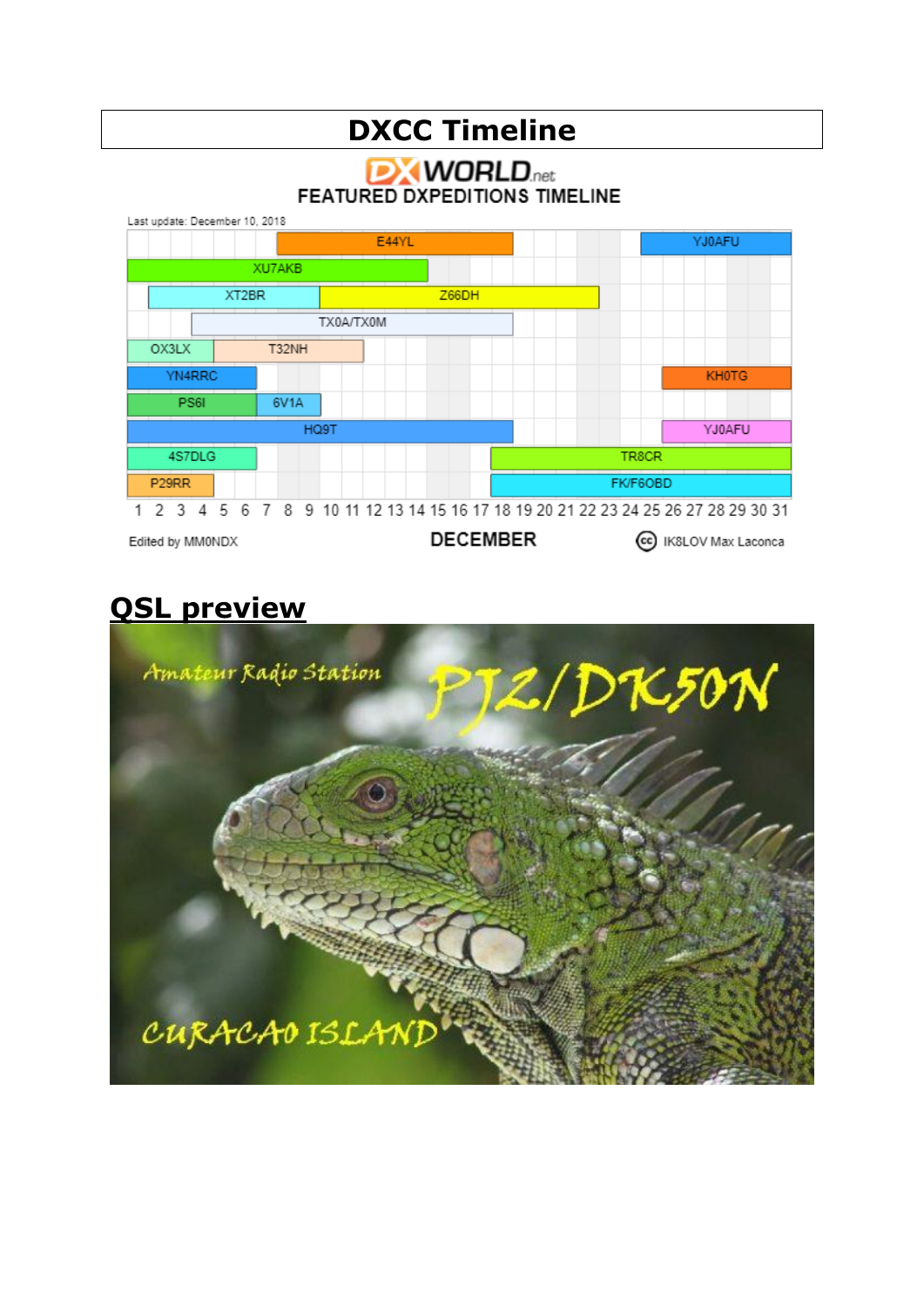# **DXCC Timeline**

**DX WORLD**.net **FEATURED DXPEDITIONS TIMELINE** 



# **QSL preview**

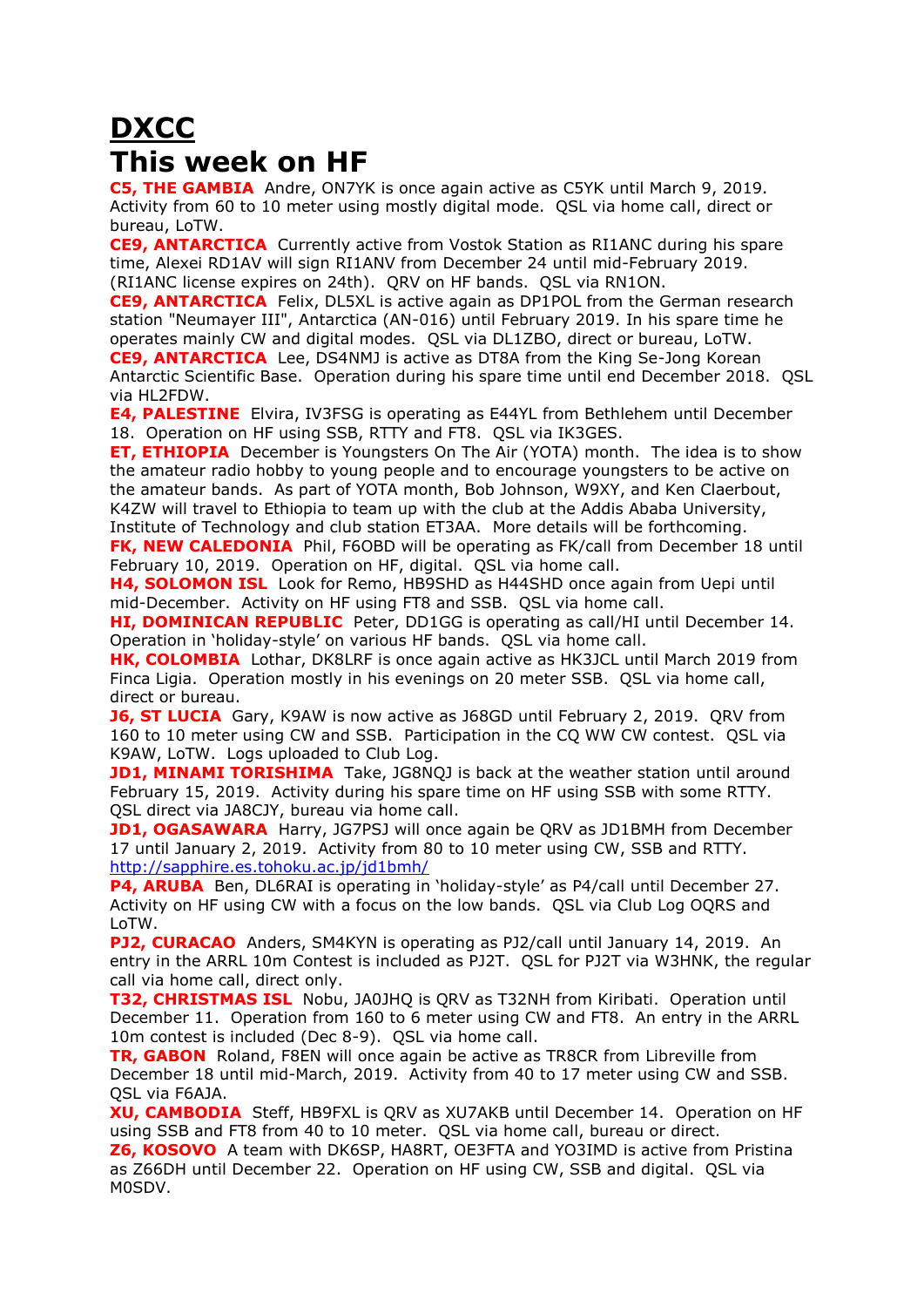# **DXCC This week on HF**

**C5, THE GAMBIA** Andre, ON7YK is once again active as C5YK until March 9, 2019. Activity from 60 to 10 meter using mostly digital mode. QSL via home call, direct or bureau, LoTW.

**CE9, ANTARCTICA** Currently active from Vostok Station as [RI1ANC](https://dx-world.net/ri1anc-vostok-base-antarctica/) during his spare time, Alexei RD1AV will sign RI1ANV from December 24 until mid-February 2019. (RI1ANC license expires on 24th). QRV on HF bands. QSL via RN1ON.

**CE9, ANTARCTICA** Felix, DL5XL is active again as DP1POL from the German research station "Neumayer III", Antarctica (AN-016) until February 2019. In his spare time he operates mainly CW and digital modes. QSL via DL1ZBO, direct or bureau, LoTW. **CE9, ANTARCTICA** Lee, DS4NMJ is active as DT8A from the King Se-Jong Korean Antarctic Scientific Base. Operation during his spare time until end December 2018. QSL via HL2FDW.

**E4, PALESTINE** Elvira, IV3FSG is operating as E44YL from Bethlehem until December 18. Operation on HF using SSB, RTTY and FT8. QSL via IK3GES.

**ET, ETHIOPIA** December is Youngsters On The Air [\(YOTA\)](https://www.ham-yota.com/december-yota-month-application-is-open/) month. The idea is to show the amateur radio hobby to young people and to encourage youngsters to be active on the amateur bands. As part of YOTA month, Bob Johnson, W9XY, and Ken Claerbout, K4ZW will travel to Ethiopia to team up with the club at the Addis Ababa University, Institute of Technology and club station ET3AA. More details will be forthcoming.

**FK, NEW CALEDONIA** Phil, F6OBD will be operating as FK/call from December 18 until February 10, 2019. Operation on HF, digital. QSL via home call.

**H4, SOLOMON ISL** Look for Remo, HB9SHD as H44SHD once again from Uepi until mid-December. Activity on HF using FT8 and SSB. QSL via home call.

**HI, DOMINICAN REPUBLIC** Peter, DD1GG is operating as call/HI until December 14. Operation in 'holiday-style' on various HF bands. QSL via home call.

**HK, COLOMBIA** Lothar, DK8LRF is once again active as HK3JCL until March 2019 from Finca Ligia. Operation mostly in his evenings on 20 meter SSB. QSL via home call, direct or bureau.

**J6, ST LUCIA** Gary, K9AW is now active as J68GD until February 2, 2019. QRV from 160 to 10 meter using CW and SSB. Participation in the CQ WW CW contest. QSL via K9AW, LoTW. Logs uploaded to Club Log.

**JD1, MINAMI TORISHIMA** Take, JG8NQJ is back at the weather station until around February 15, 2019. Activity during his spare time on HF using SSB with some RTTY. QSL direct via JA8CJY, bureau via home call.

**JD1, OGASAWARA** Harry, JG7PSJ will once again be QRV as JD1BMH from December 17 until January 2, 2019. Activity from 80 to 10 meter using CW, SSB and RTTY. <http://sapphire.es.tohoku.ac.jp/jd1bmh/>

**P4, ARUBA** Ben, DL6RAI is operating in 'holiday-style' as P4/call until December 27. Activity on HF using CW with a focus on the low bands. QSL via Club Log OQRS and LoTW.

**PJ2, CURACAO** Anders, SM4KYN is operating as PJ2/call until January 14, 2019. An entry in the ARRL 10m Contest is included as PJ2T. QSL for PJ2T via W3HNK, the regular call via home call, direct only.

**T32, CHRISTMAS ISL** Nobu, JA0JHQ is QRV as T32NH from Kiribati. Operation until December 11. Operation from 160 to 6 meter using CW and FT8. An entry in the ARRL 10m contest is included (Dec 8-9). QSL via home call.

**TR, GABON** Roland, F8EN will once again be active as TR8CR from Libreville from December 18 until mid-March, 2019. Activity from 40 to 17 meter using CW and SSB. QSL via F6AJA.

**XU, CAMBODIA** Steff, HB9FXL is QRV as XU7AKB until December 14. Operation on HF using SSB and FT8 from 40 to 10 meter. QSL via home call, bureau or direct.

**Z6, KOSOVO** A team with DK6SP, HA8RT, OE3FTA and YO3IMD is active from Pristina as Z66DH until December 22. Operation on HF using CW, SSB and digital. QSL via M0SDV.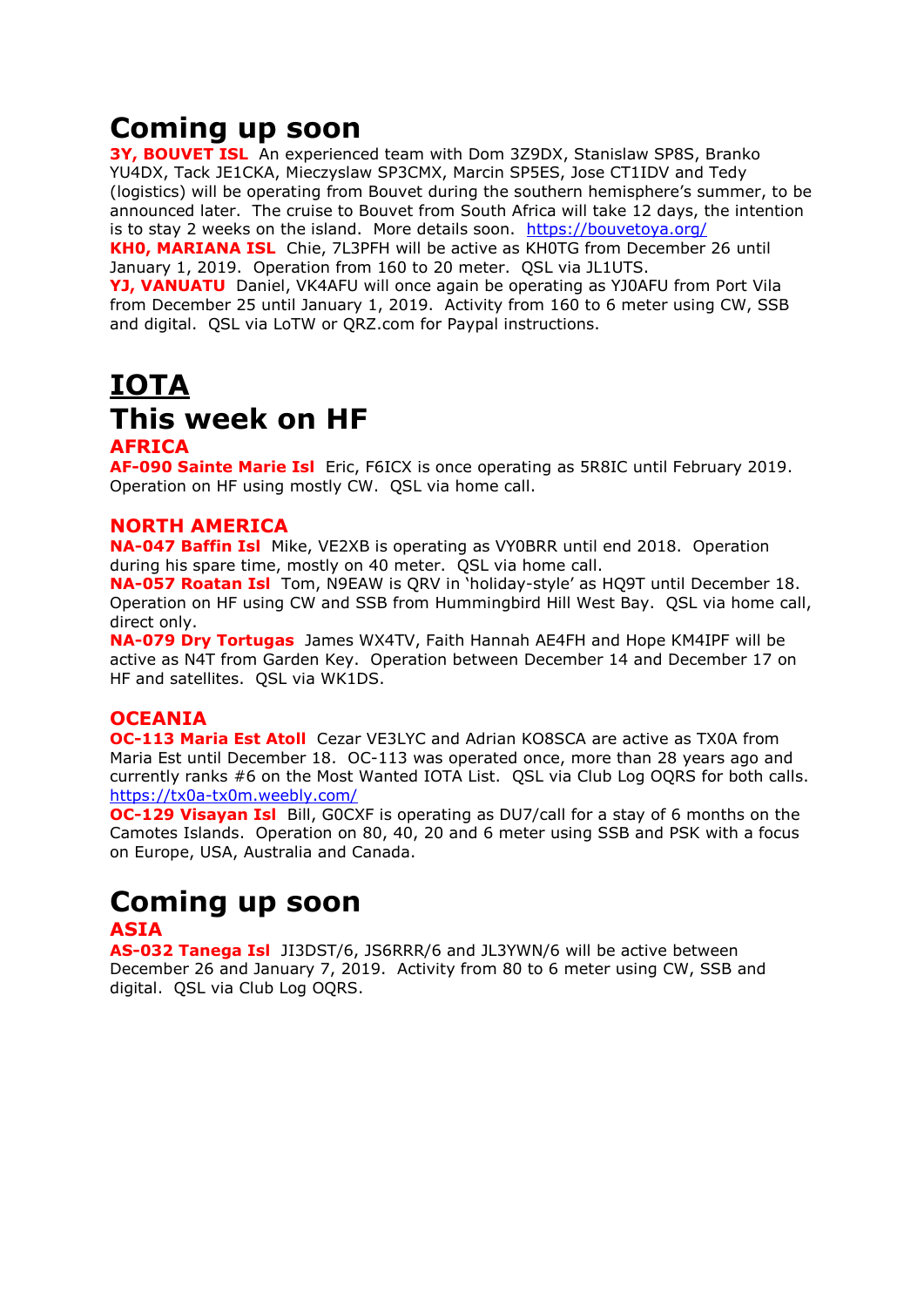## **Coming up soon**

**3Y, BOUVET ISL** An experienced team with Dom 3Z9DX, Stanislaw SP8S, Branko YU4DX, Tack JE1CKA, Mieczyslaw SP3CMX, Marcin SP5ES, Jose CT1IDV and Tedy (logistics) will be operating from Bouvet during the southern hemisphere's summer, to be announced later. The cruise to Bouvet from South Africa will take 12 days, the intention is to stay 2 weeks on the island. More details soon. <https://bouvetoya.org/>

**KH0, MARIANA ISL** Chie, 7L3PFH will be active as KH0TG from December 26 until January 1, 2019. Operation from 160 to 20 meter. QSL via JL1UTS.

**YJ, VANUATU** Daniel, VK4AFU will once again be operating as YJ0AFU from Port Vila from December 25 until January 1, 2019. Activity from 160 to 6 meter using CW, SSB and digital. QSL via LoTW or QRZ.com for Paypal instructions.

# **IOTA This week on HF**

#### **AFRICA**

**AF-090 Sainte Marie Isl** Eric, F6ICX is once operating as 5R8IC until February 2019. Operation on HF using mostly CW. QSL via home call.

#### **NORTH AMERICA**

**NA-047 Baffin Isl** Mike, VE2XB is operating as VY0BRR until end 2018. Operation during his spare time, mostly on 40 meter. QSL via home call.

**NA-057 Roatan Isl** Tom, N9EAW is QRV in 'holiday-style' as HQ9T until December 18. Operation on HF using CW and SSB from Hummingbird Hill West Bay. QSL via home call, direct only.

**NA-079 Dry Tortugas** James WX4TV, Faith Hannah AE4FH and Hope KM4IPF will be active as N4T from Garden Key. Operation between December 14 and December 17 on HF and satellites. QSL via WK1DS.

#### **OCEANIA**

**OC-113 Maria Est Atoll** Cezar VE3LYC and Adrian KO8SCA are active as TX0A from Maria Est until December 18. OC-113 was operated once, more than 28 years ago and currently ranks #6 on the Most Wanted IOTA List. QSL via Club Log OQRS for both calls. <https://tx0a-tx0m.weebly.com/>

**OC-129 Visayan Isl** Bill, GOCXF is operating as DU7/call for a stay of 6 months on the Camotes Islands. Operation on 80, 40, 20 and 6 meter using SSB and PSK with a focus on Europe, USA, Australia and Canada.

## **Coming up soon**

## **ASIA**

**AS-032 Tanega Isl** JI3DST/6, JS6RRR/6 and JL3YWN/6 will be active between December 26 and January 7, 2019. Activity from 80 to 6 meter using CW, SSB and digital. QSL via Club Log OQRS.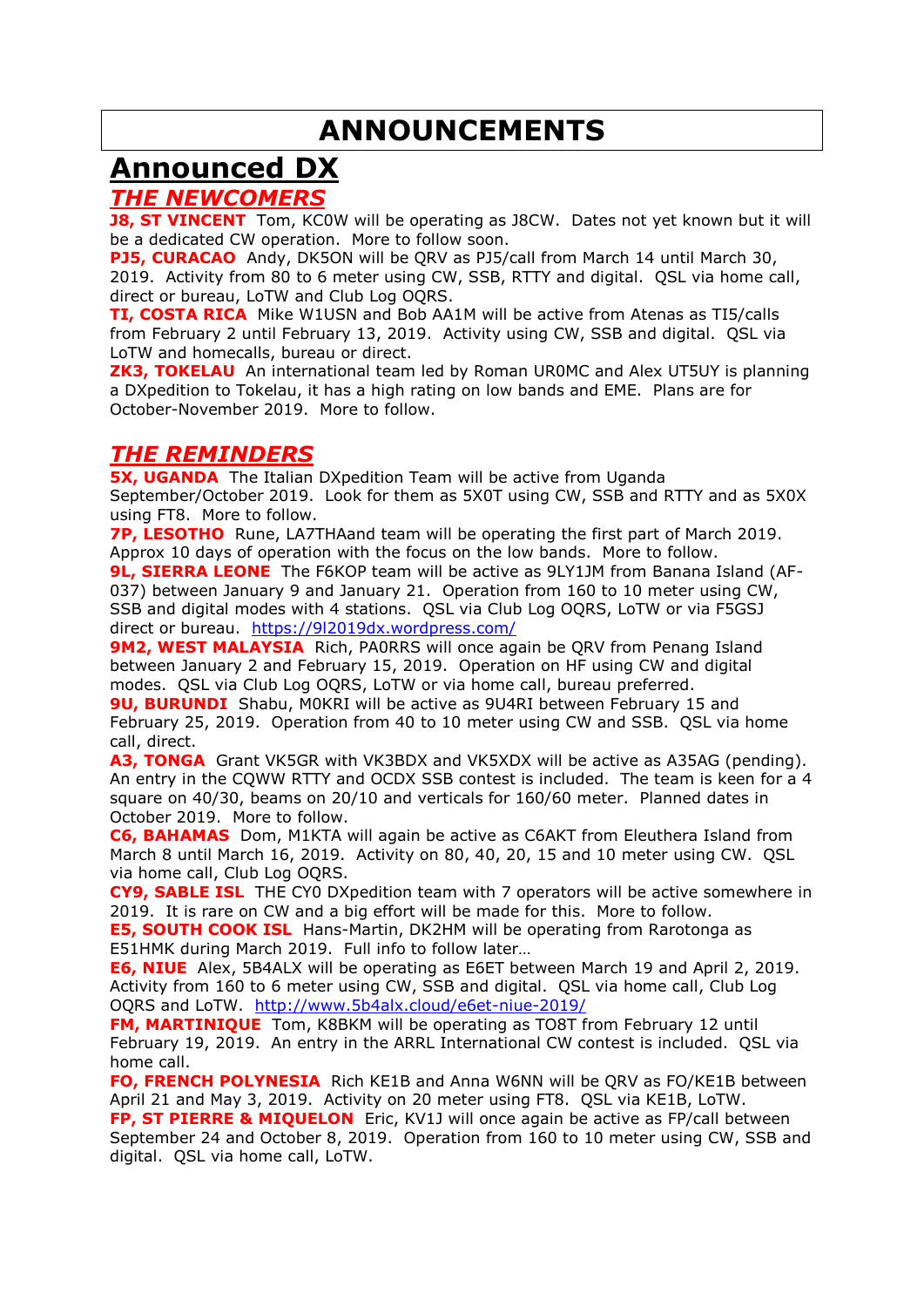## **ANNOUNCEMENTS**

## **Announced DX**

#### *THE NEWCOMERS*

**J8, ST VINCENT** Tom, KC0W will be operating as J8CW. Dates not yet known but it will be a dedicated CW operation. More to follow soon.

**PJ5, CURACAO** Andy, DK5ON will be QRV as PJ5/call from March 14 until March 30, 2019. Activity from 80 to 6 meter using CW, SSB, RTTY and digital. QSL via home call, direct or bureau, LoTW and Club Log OQRS.

**TI, COSTA RICA** Mike W1USN and Bob AA1M will be active from Atenas as TI5/calls from February 2 until February 13, 2019. Activity using CW, SSB and digital. QSL via LoTW and homecalls, bureau or direct.

**ZK3, TOKELAU** An international team led by Roman UR0MC and Alex UT5UY is planning a DXpedition to Tokelau, it has a high rating on low bands and EME. Plans are for October-November 2019. More to follow.

## *THE REMINDERS*

**5X, UGANDA** The Italian DXpedition Team will be active from Uganda September/October 2019. Look for them as 5X0T using CW, SSB and RTTY and as 5X0X using FT8. More to follow.

**7P, LESOTHO** Rune, LA7THAand team will be operating the first part of March 2019. Approx 10 days of operation with the focus on the low bands. More to follow.

**9L, SIERRA LEONE** The F6KOP team will be active as 9LY1JM from Banana Island (AF-037) between January 9 and January 21. Operation from 160 to 10 meter using CW, SSB and digital modes with 4 stations. QSL via Club Log OQRS, LoTW or via F5GSJ direct or bureau. <https://9l2019dx.wordpress.com/>

**9M2, WEST MALAYSIA** Rich, PA0RRS will once again be ORV from Penang Island between January 2 and February 15, 2019. Operation on HF using CW and digital modes. QSL via Club Log OQRS, LoTW or via home call, bureau preferred.

**9U, BURUNDI** Shabu, M0KRI will be active as 9U4RI between February 15 and February 25, 2019. Operation from 40 to 10 meter using CW and SSB. QSL via home call, direct.

**A3, TONGA** Grant VK5GR with VK3BDX and VK5XDX will be active as A35AG (pending). An entry in the CQWW RTTY and OCDX SSB contest is included. The team is keen for a 4 square on 40/30, beams on 20/10 and verticals for 160/60 meter. Planned dates in October 2019. More to follow.

**C6, BAHAMAS** Dom, M1KTA will again be active as C6AKT from Eleuthera Island from March 8 until March 16, 2019. Activity on 80, 40, 20, 15 and 10 meter using CW. QSL via home call, Club Log OQRS.

**CY9, SABLE ISL** THE CY0 DXpedition team with 7 operators will be active somewhere in 2019. It is rare on CW and a big effort will be made for this. More to follow.

**E5, SOUTH COOK ISL** Hans-Martin, DK2HM will be operating from Rarotonga as E51HMK during March 2019. Full info to follow later…

**E6, NIUE** Alex, 5B4ALX will be operating as E6ET between March 19 and April 2, 2019. Activity from 160 to 6 meter using CW, SSB and digital. QSL via home call, Club Log OQRS and LoTW. <http://www.5b4alx.cloud/e6et-niue-2019/>

**FM, MARTINIQUE** Tom, K8BKM will be operating as TO8T from February 12 until February 19, 2019. An entry in the ARRL International CW contest is included. QSL via home call.

**FO, FRENCH POLYNESIA** Rich KE1B and Anna W6NN will be QRV as FO/KE1B between April 21 and May 3, 2019. Activity on 20 meter using FT8. QSL via KE1B, LoTW. **FP, ST PIERRE & MIQUELON** Eric, KV1J will once again be active as FP/call between September 24 and October 8, 2019. Operation from 160 to 10 meter using CW, SSB and digital. QSL via home call, LoTW.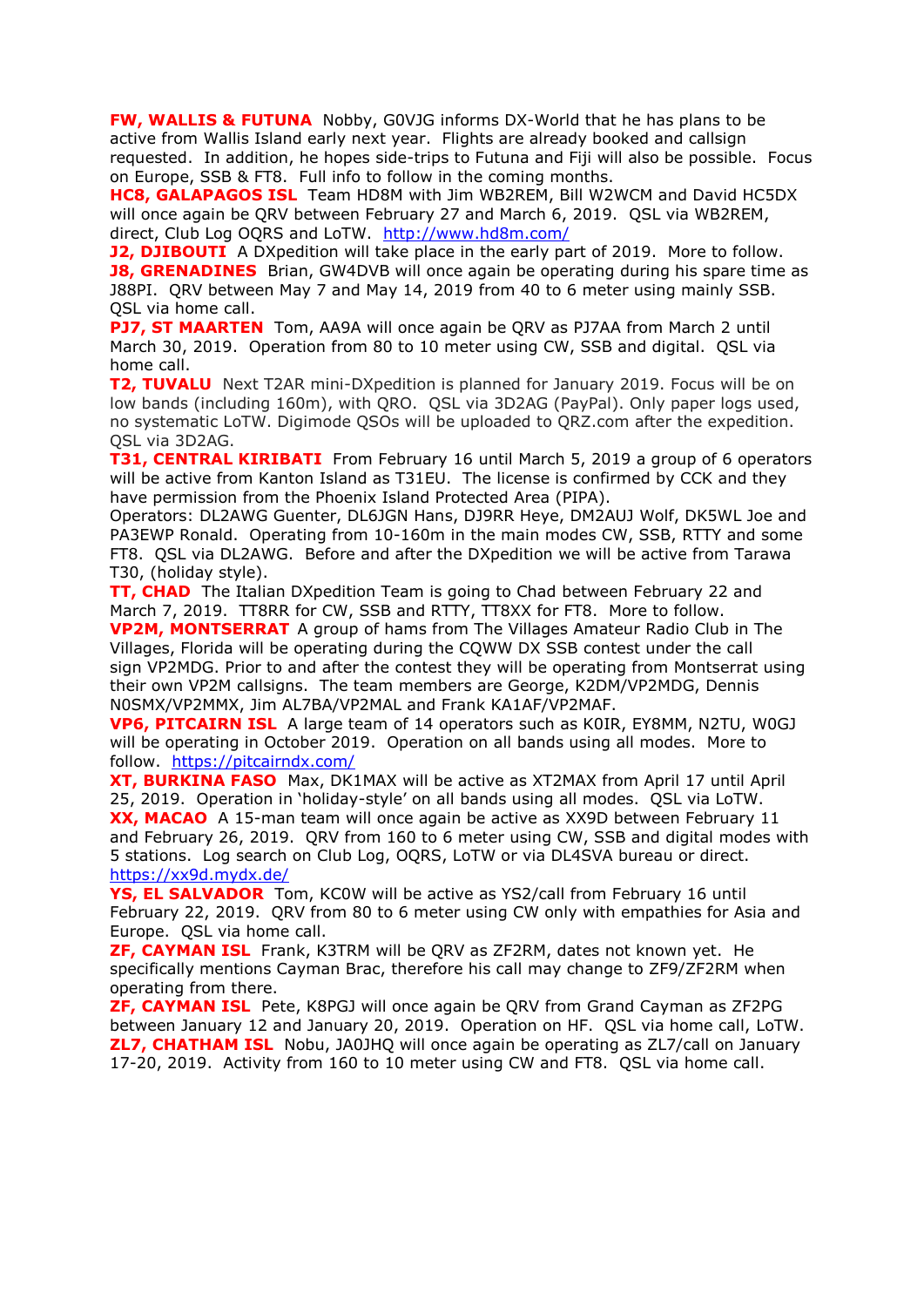**FW, WALLIS & FUTUNA** Nobby, G0VJG informs DX-World that he has plans to be active from Wallis Island early next year. Flights are already booked and callsign requested. In addition, he hopes side-trips to Futuna and Fiji will also be possible. Focus on Europe, SSB & FT8. Full info to follow in the coming months.

**HC8, GALAPAGOS ISL** Team HD8M with Jim WB2REM, Bill W2WCM and David HC5DX will once again be QRV between February 27 and March 6, 2019. QSL via WB2REM, direct, Club Log OQRS and LoTW. <http://www.hd8m.com/>

**J2, DJIBOUTI** A DXpedition will take place in the early part of 2019. More to follow. **J8, GRENADINES** Brian, GW4DVB will once again be operating during his spare time as J88PI. QRV between May 7 and May 14, 2019 from 40 to 6 meter using mainly SSB. QSL via home call.

**PJ7, ST MAARTEN** Tom, AA9A will once again be QRV as PJ7AA from March 2 until March 30, 2019. Operation from 80 to 10 meter using CW, SSB and digital. QSL via home call.

**T2, TUVALU** Next T2AR mini-DXpedition is planned for January 2019. Focus will be on low bands (including 160m), with QRO. QSL via 3D2AG (PayPal). Only paper logs used, no systematic LoTW. Digimode QSOs will be uploaded to QRZ.com after the expedition. QSL via 3D2AG.

**T31, CENTRAL KIRIBATI** From February 16 until March 5, 2019 a group of 6 operators will be active from Kanton Island as T31EU. The license is confirmed by CCK and they have permission from the Phoenix Island Protected Area (PIPA).

Operators: DL2AWG Guenter, DL6JGN Hans, DJ9RR Heye, DM2AUJ Wolf, DK5WL Joe and PA3EWP Ronald. Operating from 10-160m in the main modes CW, SSB, RTTY and some FT8. QSL via DL2AWG. Before and after the DXpedition we will be active from Tarawa T30, (holiday style).

**TT, CHAD** The Italian DXpedition Team is going to Chad between February 22 and March 7, 2019. TT8RR for CW, SSB and RTTY, TT8XX for FT8. More to follow.

**VP2M, MONTSERRAT** A group of hams from The Villages Amateur Radio Club in The Villages, Florida will be operating during the CQWW DX SSB contest under the call sign VP2MDG. Prior to and after the contest they will be operating from Montserrat using their own VP2M callsigns. The team members are George, K2DM/VP2MDG, Dennis N0SMX/VP2MMX, Jim AL7BA/VP2MAL and Frank KA1AF/VP2MAF.

**VP6, PITCAIRN ISL** A large team of 14 operators such as K0IR, EY8MM, N2TU, W0GJ will be operating in October 2019. Operation on all bands using all modes. More to follow. <https://pitcairndx.com/>

**XT, BURKINA FASO** Max, DK1MAX will be active as XT2MAX from April 17 until April 25, 2019. Operation in 'holiday-style' on all bands using all modes. QSL via LoTW. **XX, MACAO** A 15-man team will once again be active as XX9D between February 11 and February 26, 2019. QRV from 160 to 6 meter using CW, SSB and digital modes with 5 stations. Log search on Club Log, OQRS, LoTW or via DL4SVA bureau or direct. <https://xx9d.mydx.de/>

**YS, EL SALVADOR** Tom, KC0W will be active as YS2/call from February 16 until February 22, 2019. QRV from 80 to 6 meter using CW only with empathies for Asia and Europe. QSL via home call.

**ZF, CAYMAN ISL** Frank, K3TRM will be QRV as ZF2RM, dates not known yet. He specifically mentions Cayman Brac, therefore his call may change to ZF9/ZF2RM when operating from there.

**ZF, CAYMAN ISL** Pete, K8PGJ will once again be QRV from Grand Cayman as ZF2PG between January 12 and January 20, 2019. Operation on HF. QSL via home call, LoTW. **ZL7, CHATHAM ISL** Nobu, JA0JHQ will once again be operating as ZL7/call on January 17-20, 2019. Activity from 160 to 10 meter using CW and FT8. QSL via home call.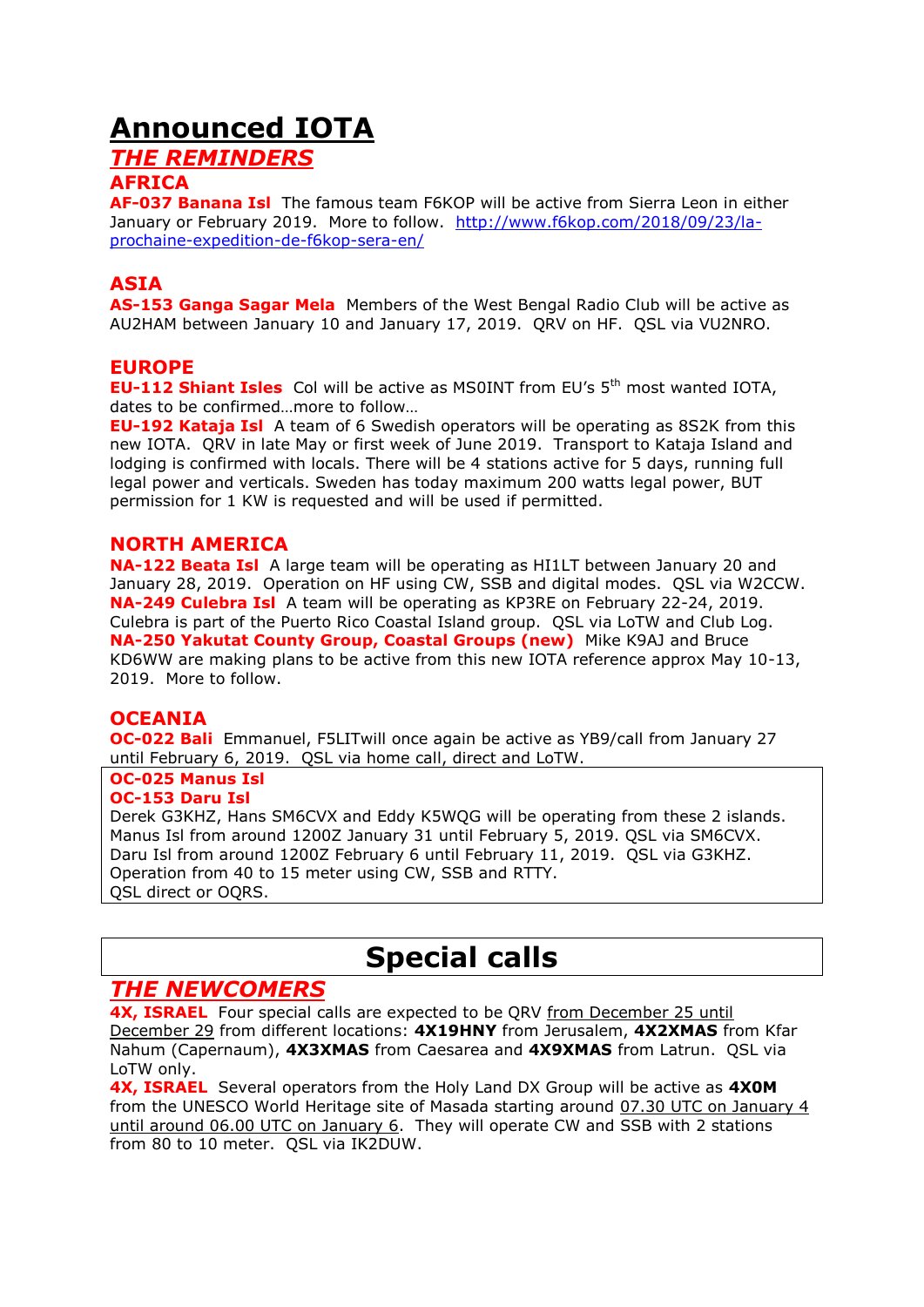## **Announced IOTA**

## *THE REMINDERS*

#### **AFRICA**

**AF-037 Banana Isl** The famous team F6KOP will be active from Sierra Leon in either January or February 2019. More to follow. [http://www.f6kop.com/2018/09/23/la](http://www.f6kop.com/2018/09/23/la-prochaine-expedition-de-f6kop-sera-en/)[prochaine-expedition-de-f6kop-sera-en/](http://www.f6kop.com/2018/09/23/la-prochaine-expedition-de-f6kop-sera-en/)

## **ASIA**

**AS-153 Ganga Sagar Mela** Members of the West Bengal Radio Club will be active as AU2HAM between January 10 and January 17, 2019. QRV on HF. QSL via VU2NRO.

## **EUROPE**

**EU-112 Shiant Isles** Col will be active as MS0INT from EU's 5<sup>th</sup> most wanted IOTA, dates to be confirmed…more to follow…

**EU-192 Kataja Isl** A team of 6 Swedish operators will be operating as 8S2K from this new IOTA. QRV in late May or first week of June 2019. Transport to Kataja Island and lodging is confirmed with locals. There will be 4 stations active for 5 days, running full legal power and verticals. Sweden has today maximum 200 watts legal power, BUT permission for 1 KW is requested and will be used if permitted.

## **NORTH AMERICA**

**NA-122 Beata Isl** A large team will be operating as HI1LT between January 20 and January 28, 2019. Operation on HF using CW, SSB and digital modes. QSL via W2CCW. **NA-249 Culebra Isl** A team will be operating as KP3RE on February 22-24, 2019. Culebra is part of the Puerto Rico Coastal Island group. QSL via LoTW and Club Log. **NA-250 Yakutat County Group, Coastal Groups (new)** Mike K9AJ and Bruce KD6WW are making plans to be active from this new IOTA reference approx May 10-13, 2019. More to follow.

## **OCEANIA**

**OC-022 Bali** Emmanuel, F5LITwill once again be active as YB9/call from January 27 until February 6, 2019. QSL via home call, direct and LoTW.

#### **OC-025 Manus Isl OC-153 Daru Isl**

Derek G3KHZ, Hans SM6CVX and Eddy K5WQG will be operating from these 2 islands. Manus Isl from around 1200Z January 31 until February 5, 2019. QSL via SM6CVX. Daru Isl from around 1200Z February 6 until February 11, 2019. QSL via G3KHZ. Operation from 40 to 15 meter using CW, SSB and RTTY. QSL direct or OQRS.

## **Special calls**

## *THE NEWCOMERS*

**4X, ISRAEL** Four special calls are expected to be QRV from December 25 until December 29 from different locations: **4X19HNY** from Jerusalem, **4X2XMAS** from Kfar Nahum (Capernaum), **4X3XMAS** from Caesarea and **4X9XMAS** from Latrun. QSL via LoTW only.

**4X, ISRAEL** Several operators from the Holy Land DX Group will be active as **4X0M** from the UNESCO World Heritage site of Masada starting around 07.30 UTC on January 4 until around 06.00 UTC on January 6. They will operate CW and SSB with 2 stations from 80 to 10 meter. QSL via IK2DUW.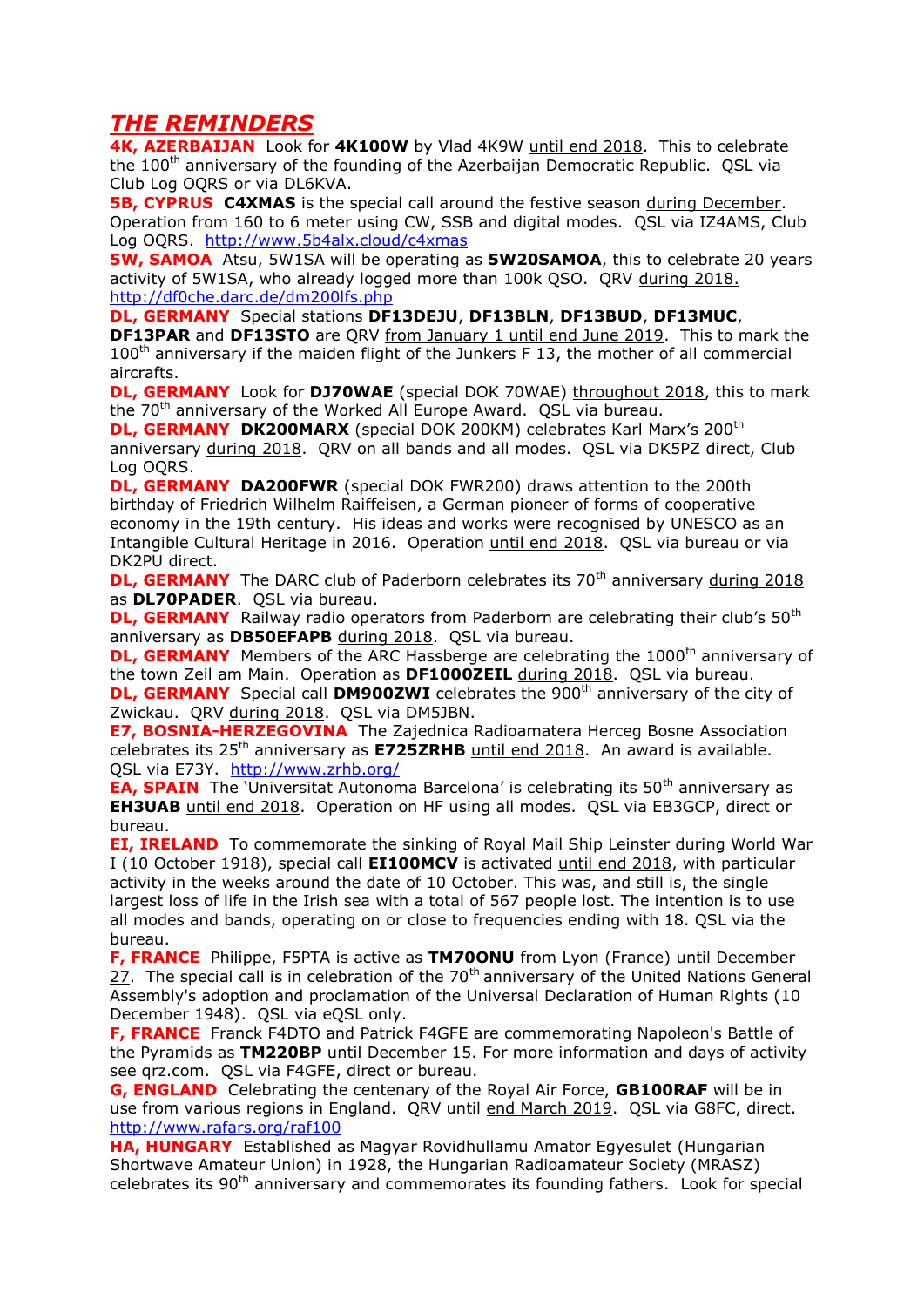## *THE REMINDERS*

**4K, AZERBAIJAN** Look for **4K100W** by Vlad 4K9W until end 2018. This to celebrate the 100<sup>th</sup> anniversary of the founding of the Azerbaijan Democratic Republic. QSL via Club Log OQRS or via DL6KVA.

**5B, CYPRUS C4XMAS** is the special call around the festive season during December. Operation from 160 to 6 meter using CW, SSB and digital modes. QSL via IZ4AMS, Club Log OQRS. <http://www.5b4alx.cloud/c4xmas>

**5W, SAMOA** Atsu, 5W1SA will be operating as **5W20SAMOA**, this to celebrate 20 years activity of 5W1SA, who already logged more than 100k QSO. QRV during 2018. <http://df0che.darc.de/dm200lfs.php>

**DL, GERMANY** Special stations **DF13DEJU**, **DF13BLN**, **DF13BUD**, **DF13MUC**,

**DF13PAR** and **DF13STO** are QRV from January 1 until end June 2019. This to mark the  $100<sup>th</sup>$  anniversary if the maiden flight of the Junkers F 13, the mother of all commercial aircrafts.

**DL, GERMANY** Look for **DJ70WAE** (special DOK 70WAE) throughout 2018, this to mark the 70<sup>th</sup> anniversary of the Worked All Europe Award. QSL via bureau.

**DL, GERMANY DK200MARX** (special DOK 200KM) celebrates Karl Marx's 200<sup>th</sup> anniversary during 2018. QRV on all bands and all modes. QSL via DK5PZ direct, Club Log OQRS.

**DL, GERMANY DA200FWR** (special DOK FWR200) draws attention to the 200th birthday of Friedrich Wilhelm Raiffeisen, a German pioneer of forms of cooperative economy in the 19th century. His ideas and works were recognised by UNESCO as an Intangible Cultural Heritage in 2016. Operation until end 2018. QSL via bureau or via DK2PU direct.

**DL, GERMANY** The DARC club of Paderborn celebrates its 70<sup>th</sup> anniversary during 2018 as **DL70PADER**. QSL via bureau.

**DL, GERMANY** Railway radio operators from Paderborn are celebrating their club's 50<sup>th</sup> anniversary as **DB50EFAPB** during 2018. QSL via bureau.

**DL, GERMANY** Members of the ARC Hassberge are celebrating the 1000<sup>th</sup> anniversary of the town Zeil am Main. Operation as **DF1000ZEIL** during 2018. QSL via bureau.

**DL, GERMANY** Special call **DM900ZWI** celebrates the 900<sup>th</sup> anniversary of the city of Zwickau. QRV during 2018. QSL via DM5JBN.

**E7, BOSNIA-HERZEGOVINA** The Zajednica Radioamatera Herceg Bosne Association celebrates its 25th anniversary as **E725ZRHB** until end 2018. An award is available. QSL via E73Y. <http://www.zrhb.org/>

**EA, SPAIN** The 'Universitat Autonoma Barcelona' is celebrating its 50<sup>th</sup> anniversary as **EH3UAB** until end 2018. Operation on HF using all modes. QSL via EB3GCP, direct or bureau.

**EI, IRELAND** To commemorate the sinking of Royal Mail Ship Leinster during World War I (10 October 1918), special call **EI100MCV** is activated until end 2018, with particular activity in the weeks around the date of 10 October. This was, and still is, the single largest loss of life in the Irish sea with a total of 567 people lost. The intention is to use all modes and bands, operating on or close to frequencies ending with 18. QSL via the bureau.

**F, FRANCE** Philippe, F5PTA is active as **TM70ONU** from Lyon (France) until December 27. The special call is in celebration of the  $70<sup>th</sup>$  anniversary of the United Nations General Assembly's adoption and proclamation of the Universal Declaration of Human Rights (10 December 1948). OSL via eOSL only.

**F, FRANCE** Franck F4DTO and Patrick F4GFE are commemorating Napoleon's Battle of the Pyramids as **TM220BP** until December 15. For more information and days of activity see qrz.com. QSL via F4GFE, direct or bureau.

**G, ENGLAND** Celebrating the centenary of the Royal Air Force, **GB100RAF** will be in use from various regions in England. QRV until end March 2019. QSL via G8FC, direct. <http://www.rafars.org/raf100>

**HA, HUNGARY** Established as Magyar Rovidhullamu Amator Egyesulet (Hungarian Shortwave Amateur Union) in 1928, the Hungarian Radioamateur Society (MRASZ) celebrates its 90<sup>th</sup> anniversary and commemorates its founding fathers. Look for special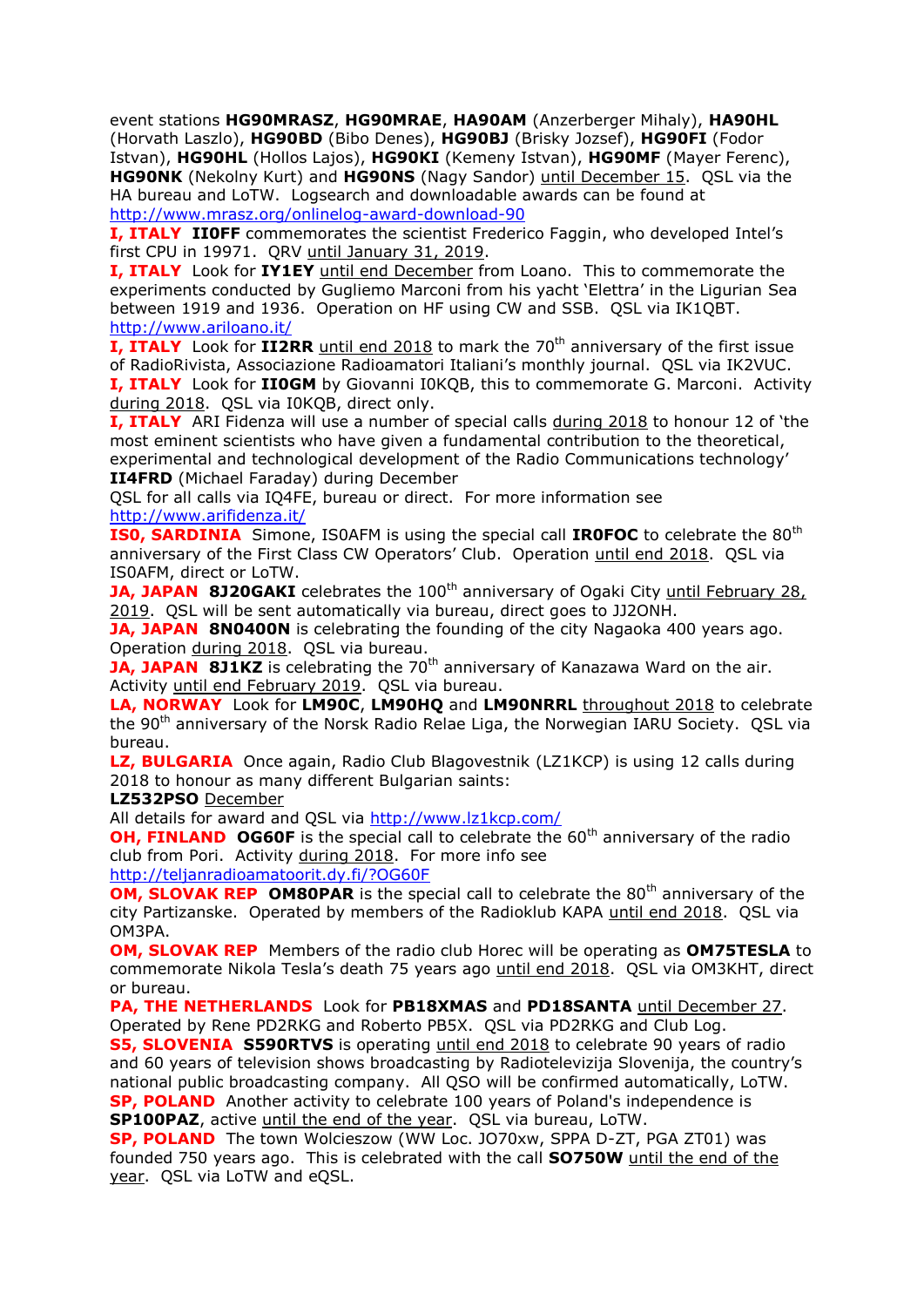event stations **HG90MRASZ**, **HG90MRAE**, **HA90AM** (Anzerberger Mihaly), **HA90HL**  (Horvath Laszlo), **HG90BD** (Bibo Denes), **HG90BJ** (Brisky Jozsef), **HG90FI** (Fodor Istvan), **HG90HL** (Hollos Lajos), **HG90KI** (Kemeny Istvan), **HG90MF** (Mayer Ferenc), **HG90NK** (Nekolny Kurt) and **HG90NS** (Nagy Sandor) until December 15. QSL via the HA bureau and LoTW. Logsearch and downloadable awards can be found at <http://www.mrasz.org/onlinelog-award-download-90>

**I, ITALY II0FF** commemorates the scientist Frederico Faggin, who developed Intel's first CPU in 19971. QRV until January 31, 2019.

**I, ITALY** Look for **IY1EY** until end December from Loano. This to commemorate the experiments conducted by Gugliemo Marconi from his yacht 'Elettra' in the Ligurian Sea between 1919 and 1936. Operation on HF using CW and SSB. QSL via IK1QBT. <http://www.ariloano.it/>

**I, ITALY** Look for **II2RR** until end 2018 to mark the 70<sup>th</sup> anniversary of the first issue of RadioRivista, Associazione Radioamatori Italiani's monthly journal. QSL via IK2VUC. **I, ITALY** Look for **II0GM** by Giovanni I0KQB, this to commemorate G. Marconi. Activity

during 2018. QSL via I0KQB, direct only.

**I, ITALY** ARI Fidenza will use a number of special calls during 2018 to honour 12 of 'the most eminent scientists who have given a fundamental contribution to the theoretical, experimental and technological development of the Radio Communications technology' **II4FRD** (Michael Faraday) during December

QSL for all calls via IQ4FE, bureau or direct. For more information see <http://www.arifidenza.it/>

**ISO, SARDINIA** Simone, IS0AFM is using the special call **IROFOC** to celebrate the 80<sup>th</sup> anniversary of the First Class CW Operators' Club. Operation until end 2018. QSL via IS0AFM, direct or LoTW.

**JA, JAPAN 8J20GAKI** celebrates the 100<sup>th</sup> anniversary of Ogaki City until February 28, 2019. QSL will be sent automatically via bureau, direct goes to JJ2ONH.

**JA, JAPAN 8N0400N** is celebrating the founding of the city Nagaoka 400 years ago. Operation during 2018. QSL via bureau.

**JA, JAPAN 8J1KZ** is celebrating the 70<sup>th</sup> anniversary of Kanazawa Ward on the air. Activity until end February 2019. QSL via bureau.

**LA, NORWAY** Look for **LM90C**, **LM90HQ** and **LM90NRRL** throughout 2018 to celebrate the 90<sup>th</sup> anniversary of the Norsk Radio Relae Liga, the Norwegian IARU Society. QSL via bureau.

**LZ, BULGARIA** Once again, Radio Club Blagovestnik (LZ1KCP) is using 12 calls during 2018 to honour as many different Bulgarian saints:

**LZ532PSO** December

All details for award and QSL via<http://www.lz1kcp.com/>

**OH, FINLAND OG60F** is the special call to celebrate the 60<sup>th</sup> anniversary of the radio club from Pori. Activity during 2018. For more info see

<http://teljanradioamatoorit.dy.fi/?OG60F>

**OM, SLOVAK REP OM80PAR** is the special call to celebrate the 80<sup>th</sup> anniversary of the city Partizanske. Operated by members of the Radioklub KAPA until end 2018. QSL via OM3PA.

**OM, SLOVAK REP** Members of the radio club Horec will be operating as **OM75TESLA** to commemorate Nikola Tesla's death 75 years ago until end 2018. QSL via OM3KHT, direct or bureau.

**PA, THE NETHERLANDS** Look for **PB18XMAS** and **PD18SANTA** until December 27. Operated by Rene PD2RKG and Roberto PB5X. QSL via PD2RKG and Club Log.

**S5, SLOVENIA S590RTVS** is operating until end 2018 to celebrate 90 years of radio and 60 years of television shows broadcasting by Radiotelevizija Slovenija, the country's national public broadcasting company. All QSO will be confirmed automatically, LoTW. **SP, POLAND** Another activity to celebrate 100 years of Poland's independence is **SP100PAZ**, active until the end of the year. QSL via bureau, LoTW.

**SP, POLAND** The town Wolcieszow (WW Loc. JO70xw, SPPA D-ZT, PGA ZT01) was founded 750 years ago. This is celebrated with the call **SO750W** until the end of the year. QSL via LoTW and eQSL.